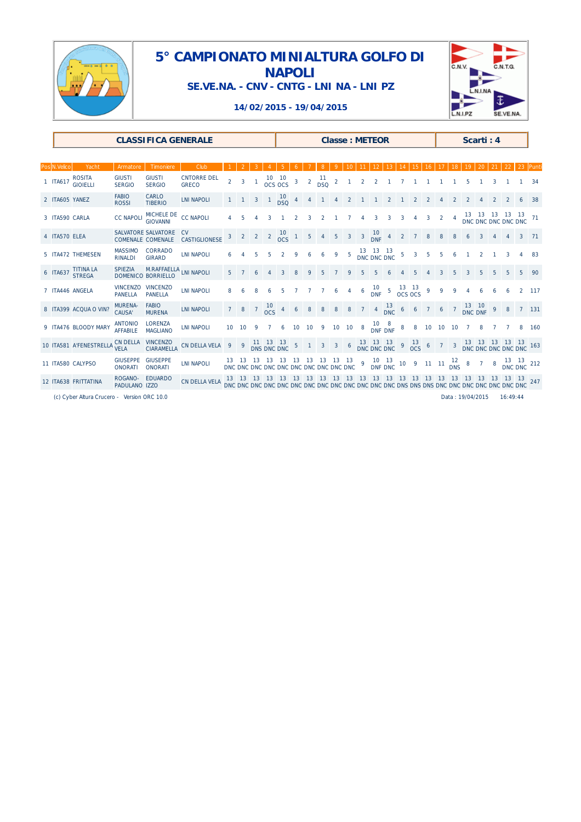

### **5° CAMPIONATO MINIALTURA GOLFO DI NAPOLI SE.VE.NA. - CNV - CNTG - LNI NA - LNI PZ**



### **14/02/2015 - 19/04/2015**

| <b>CLASSIFICA GENERALE</b> |                                  |                                   |                                                      |                                         |   |                | <b>Classe: METEOR</b> |                          |                    |                |                |                                                     |                  |                        | Scarti: 4      |                         |                                                                                  |                |                 |                             |   |      |                                                     |  |   |  |       |
|----------------------------|----------------------------------|-----------------------------------|------------------------------------------------------|-----------------------------------------|---|----------------|-----------------------|--------------------------|--------------------|----------------|----------------|-----------------------------------------------------|------------------|------------------------|----------------|-------------------------|----------------------------------------------------------------------------------|----------------|-----------------|-----------------------------|---|------|-----------------------------------------------------|--|---|--|-------|
|                            |                                  |                                   |                                                      |                                         |   |                |                       |                          |                    |                |                |                                                     |                  |                        |                |                         |                                                                                  |                |                 |                             |   |      |                                                     |  |   |  |       |
| Pos N.Velico               | Yacht                            | Armatore                          | Timoniere                                            | Club                                    |   |                |                       |                          |                    |                |                |                                                     |                  |                        |                |                         |                                                                                  |                |                 |                             |   |      |                                                     |  |   |  |       |
| 1 ITA617                   | <b>ROSITA</b><br><b>GIOIELLI</b> | <b>GIUSTI</b><br><b>SERGIO</b>    | <b>GIUSTI</b><br><b>SERGIO</b>                       | <b>CNTORRE DEL</b><br><b>GRECO</b>      |   |                |                       | $10$ $10$<br>$0CS$ $0CS$ |                    | $\mathbf{3}$   | $\overline{a}$ | $11$<br>DSQ                                         | $\overline{2}$   |                        | $\overline{2}$ | $\overline{2}$          |                                                                                  |                |                 |                             |   |      |                                                     |  |   |  | 34    |
| 2 ITA605 YANEZ             |                                  | <b>FABIO</b><br><b>ROSSI</b>      | CARLO<br><b>TIBERIO</b>                              | <b>LNI NAPOLI</b>                       |   |                | 3                     | $1 \frac{10}{20}$        |                    | $\overline{4}$ |                |                                                     |                  |                        |                |                         |                                                                                  |                |                 |                             |   |      |                                                     |  |   |  |       |
| 3 ITA590 CARLA             |                                  | <b>CC NAPOLI</b>                  | MICHELE DE<br>GIOVANNI                               | <b>CC NAPOLI</b>                        |   |                |                       |                          |                    |                |                |                                                     |                  |                        |                | 3                       | $\overline{3}$                                                                   | 3              |                 | $4 \quad 3 \quad 2 \quad 4$ |   |      | 13 13 13 13 13<br>DNC DNC DNC DNC DNC <sup>71</sup> |  |   |  |       |
| 4 ITA570 ELEA              |                                  |                                   | SALVATORE SALVATORE<br>COMENALE COMENALE             | $\mathsf{C}\mathsf{V}$<br>CASTIGLIONESE |   |                | 2                     |                          | $2 \frac{10}{0}$ 1 |                | 5              |                                                     | 5                | 3 3 $\frac{10}{DNF}$ 4 |                |                         |                                                                                  | $\overline{2}$ |                 |                             |   |      |                                                     |  |   |  | 71    |
|                            | 5 ITA472 THEMESEN                | <b>MASSIMO</b><br><b>RINALDI</b>  | CORRADO<br><b>GIRARD</b>                             | <b>LNI NAPOLI</b>                       |   |                |                       |                          |                    |                |                |                                                     | 9                | 5                      |                | 13 13 13<br>DNC DNC DNC |                                                                                  | 5              | 3               |                             |   |      |                                                     |  |   |  | 83    |
|                            | 6 ITA637 TITINA LA               |                                   | SPIEZIA M.RAFFAELLA LNI NAPOLI<br>DOMENICO BORRIELLO |                                         |   |                |                       |                          |                    |                |                |                                                     |                  |                        |                |                         |                                                                                  |                |                 |                             |   |      |                                                     |  |   |  | 90    |
|                            | 7 ITA446 ANGELA                  | <b>VINCENZO</b><br><b>PANELLA</b> | <b>VINCENZO</b><br><b>PANELLA</b>                    | <b>LNI NAPOLI</b>                       |   |                |                       |                          |                    |                |                |                                                     | 6                | 4                      |                |                         | $6^{10}$ 5 $13^{13}$ 9                                                           |                |                 |                             | 9 |      |                                                     |  |   |  | 117   |
|                            | 8 ITA399 ACQUA O VIN?            | <b>MURENA-</b><br>CAUSA'          | <b>FABIO</b><br><b>MURENA</b>                        | <b>LNI NAPOLI</b>                       |   |                |                       | $7\frac{10}{0}$          |                    |                | 8              | 8                                                   | $\boldsymbol{8}$ | 8                      |                |                         | 7 4 $\frac{13}{DNC}$ 6                                                           |                | $6\overline{6}$ |                             |   |      | 7 6 7 13 10<br>DNC DNF                              |  | 9 |  | 7 131 |
|                            | 9 ITA476 BLOODY MARY             | <b>ANTONIO</b><br><b>AFFABILE</b> | <b>LORENZA</b><br><b>MAGLIANO</b>                    | <b>LNI NAPOLI</b>                       |   |                |                       |                          |                    | 10             | 10             | $\overline{9}$                                      |                  | 10 10 8                |                |                         | 10 8 8 8 10 10<br>DNF DNF 8 8 10 10                                              |                |                 |                             |   | - 10 |                                                     |  |   |  | 160   |
|                            | 10 ITA581 A'FENESTRELLA          | <b>CN DELLA</b><br><b>VELA</b>    | <b>VINCENZO</b><br><b>CIARAMELLA</b>                 | <b>CN DELLA VELA</b>                    | 9 | $\overline{9}$ |                       | 11 13 13<br>DNS DNC DNC  |                    | $\sqrt{5}$     |                |                                                     |                  |                        |                |                         |                                                                                  |                |                 |                             |   |      |                                                     |  |   |  |       |
|                            | 11 ITA580 CALYPSO                | <b>GIUSEPPE</b><br><b>ONORATI</b> | <b>GIUSEPPE</b><br><b>ONORATI</b>                    | <b>LNI NAPOLI</b>                       |   |                |                       | 13 13 13 13 13           |                    | - 13           | - 13           | 13 13 13<br>DNC DNC DNC DNC DNC DNC DNC DNC DNC DNC |                  |                        |                |                         | 9 10 13 10 9 11 11 12 8 7 8 13 13 12<br>DNF DNC 10 9 11 11 DNS 8 7 8 DNC DNC 212 |                |                 |                             |   |      |                                                     |  |   |  |       |
|                            | 12 ITA638 FRITTATINA             | ROGANO-<br>PADULANO IZZO          | <b>FDUARDO</b>                                       | <b>CN DELLA VELA</b>                    |   |                |                       |                          |                    |                |                |                                                     |                  |                        |                |                         |                                                                                  |                |                 |                             |   |      |                                                     |  |   |  |       |

(c) Cyber Altura Crucero - Version ORC 10.0 **QBC-J7QP Data : 19/04/2015** 16:49:44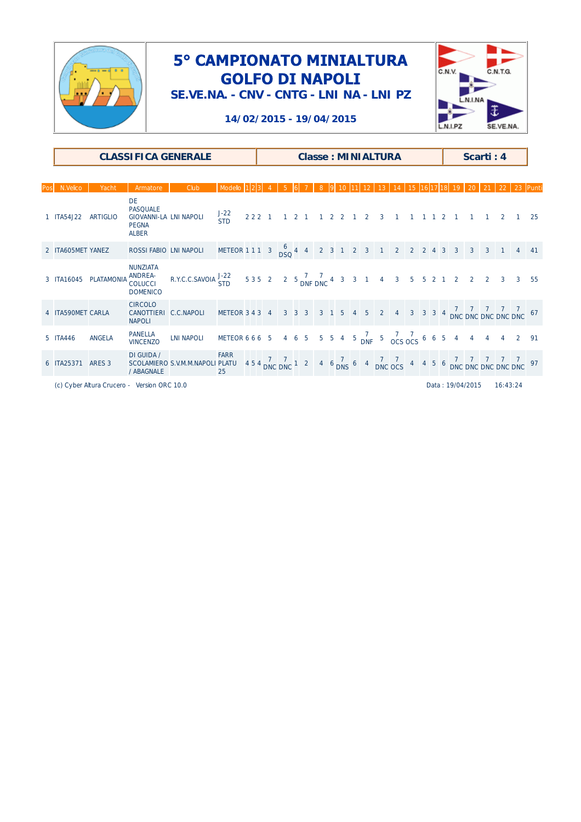

**SE.VE.NA. - CNV - CNTG - LNI NA - LNI PZ**



#### **14/02/2015 - 19/04/2015**

|                   | <b>CLASSIFICA GENERALE</b> |                                                                                               |                                                                                             |                                                                     |  |      | <b>Classe: MINIALTURA</b> |                     |  |                |  |  |             |                         | Scarti: 4                                                               |  |         |  |                  |                |          |                                                                                                                                            |    |
|-------------------|----------------------------|-----------------------------------------------------------------------------------------------|---------------------------------------------------------------------------------------------|---------------------------------------------------------------------|--|------|---------------------------|---------------------|--|----------------|--|--|-------------|-------------------------|-------------------------------------------------------------------------|--|---------|--|------------------|----------------|----------|--------------------------------------------------------------------------------------------------------------------------------------------|----|
|                   |                            |                                                                                               |                                                                                             |                                                                     |  |      |                           |                     |  |                |  |  |             |                         |                                                                         |  |         |  |                  |                |          |                                                                                                                                            |    |
| N.Velico          | Yacht                      | Armatore                                                                                      | Club                                                                                        | Modello                                                             |  |      |                           |                     |  |                |  |  |             |                         |                                                                         |  |         |  |                  |                |          |                                                                                                                                            |    |
| 1 ITA54.122       | <b>ARTIGLIO</b>            | <b>DE</b><br><b>PASQUALE</b><br><b>GIOVANNI-LA LNI NAPOLI</b><br><b>PEGNA</b><br><b>ALBER</b> |                                                                                             | $J-22$<br><b>STD</b>                                                |  | 2221 |                           | $1 \quad 2 \quad 1$ |  | 2 <sub>2</sub> |  |  | $2^{\circ}$ | $\overline{\mathbf{3}}$ |                                                                         |  | 1 1 2 1 |  |                  |                |          |                                                                                                                                            | 25 |
| 2 ITA605MET YANEZ |                            | ROSSI FABIO LNI NAPOLI                                                                        |                                                                                             | METEOR 1 1 1 3 $\frac{6}{\text{DSQ}}$ 4 4 2 3 1 2 3 1 2 2 2 2 4 3 3 |  |      |                           |                     |  |                |  |  |             |                         |                                                                         |  |         |  | $\overline{3}$   | $\overline{3}$ |          |                                                                                                                                            | 41 |
| 3 ITA16045        | <b>PLATAMONIA</b>          | <b>NUNZIATA</b><br><b>ANDREA-</b><br><b>COLUCCI</b><br><b>DOMENICO</b>                        | R.Y.C.C.SAVOIA $\frac{J-22}{STD}$ 535 2 2 5 $\frac{7}{DNF}$ DNC 4 3 3 1 4 3 5 5 2 1 2 2 2 3 |                                                                     |  |      |                           |                     |  |                |  |  |             |                         |                                                                         |  |         |  |                  |                |          | $\overline{3}$                                                                                                                             | 55 |
| 4 ITA590MET CARLA |                            | <b>CIRCOLO</b><br>CANOTTIERI C.C.NAPOLI<br><b>NAPOLI</b>                                      |                                                                                             | METEOR 3 4 3 4                                                      |  |      |                           |                     |  |                |  |  |             |                         |                                                                         |  |         |  |                  |                |          | 3 3 3 3 1 5 4 5 2 4 3 3 3 4 7 7 7 7 7 6 7                                                                                                  |    |
| 5 ITA446          | <b>ANGELA</b>              | <b>PANELLA</b><br><b>VINCENZO</b>                                                             | <b>LNI NAPOLI</b>                                                                           | METEOR 6 6 6 5                                                      |  |      |                           |                     |  |                |  |  |             |                         | 4 6 5 5 5 4 5 $\frac{7}{\text{DNF}}$ 5 $\frac{7}{\text{OCS}}$ 6 6 5 4 4 |  |         |  |                  | $\overline{4}$ |          |                                                                                                                                            | 91 |
| 6 ITA25371        | ARES <sub>3</sub>          | DI GUIDA /<br>/ ABAGNALE                                                                      | SCOLAMIERO S.V.M.M.NAPOLI PLATU                                                             | <b>FARR</b><br>25                                                   |  |      |                           |                     |  |                |  |  |             |                         |                                                                         |  |         |  |                  |                |          | $454 \frac{7}{DNC}$ DNC DNC 1 2 4 6 $\frac{7}{DNS}$ 6 4 $\frac{7}{DNC}$ OCS 4 4 5 6 $\frac{7}{DNC}$ DNC DNC DNC DNC DNC DNC $\frac{97}{D}$ |    |
|                   |                            | (c) Cyber Altura Crucero - Version ORC 10.0                                                   |                                                                                             |                                                                     |  |      |                           |                     |  |                |  |  |             |                         |                                                                         |  |         |  | Data: 19/04/2015 |                | 16:43:24 |                                                                                                                                            |    |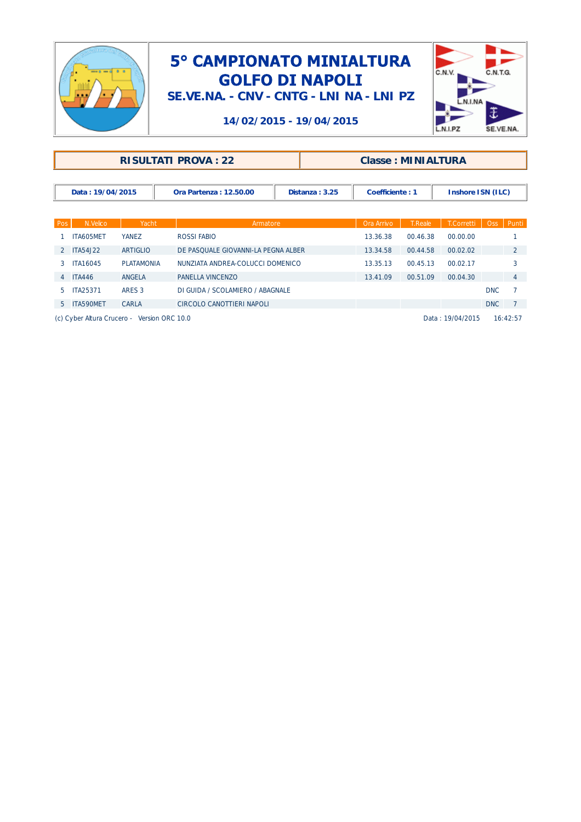

**SE.VE.NA. - CNV - CNTG - LNI NA - LNI PZ**



#### **14/02/2015 - 19/04/2015**

| <b>RISULTATI PROVA: 22</b> | <b>Classe: MINIALTURA</b> |
|----------------------------|---------------------------|
|                            |                           |

| Data: 19/04/2015 | Ora Partenza: 12.50.00 | 3.25<br>Distanza : | striciente : | Inshore ISN (ILC) |
|------------------|------------------------|--------------------|--------------|-------------------|

| Pos            | N.Velico         | Yacht             | Armatore                            | Ora Arrivo | <b>T.Reale</b> | T.Corretti | <b>Oss</b> | Punti          |
|----------------|------------------|-------------------|-------------------------------------|------------|----------------|------------|------------|----------------|
|                | ITA605MET        | <b>YANEZ</b>      | ROSSI FABIO                         | 13.36.38   | 00.46.38       | 00.00.00   |            |                |
|                | <b>ITA54.122</b> | <b>ARTIGLIO</b>   | DE PASOUALE GIOVANNI-LA PEGNA ALBER | 13.34.58   | 00.44.58       | 00.02.02   |            |                |
| 3              | <b>ITA16045</b>  | <b>PLATAMONIA</b> | NUNZIATA ANDREA-COLUCCI DOMENICO    | 13.35.13   | 00.45.13       | 00.02.17   |            |                |
| $\overline{4}$ | <b>ITA446</b>    | ANGELA            | PANELLA VINCENZO                    | 13.41.09   | 00.51.09       | 00.04.30   |            | $\overline{4}$ |
| b.             | <b>ITA25371</b>  | ARES 3            | DI GUIDA / SCOLAMIERO / ABAGNALE    |            |                |            | <b>DNC</b> |                |
| $5^{\circ}$    | ITA590MET        | CARLA             | CIRCOLO CANOTTIERI NAPOLI           |            |                |            | <b>DNC</b> |                |

(c) Cyber Altura Crucero - Version ORC 10.0 Company of the US of Case of Company Data : 19/04/2015 16:42:57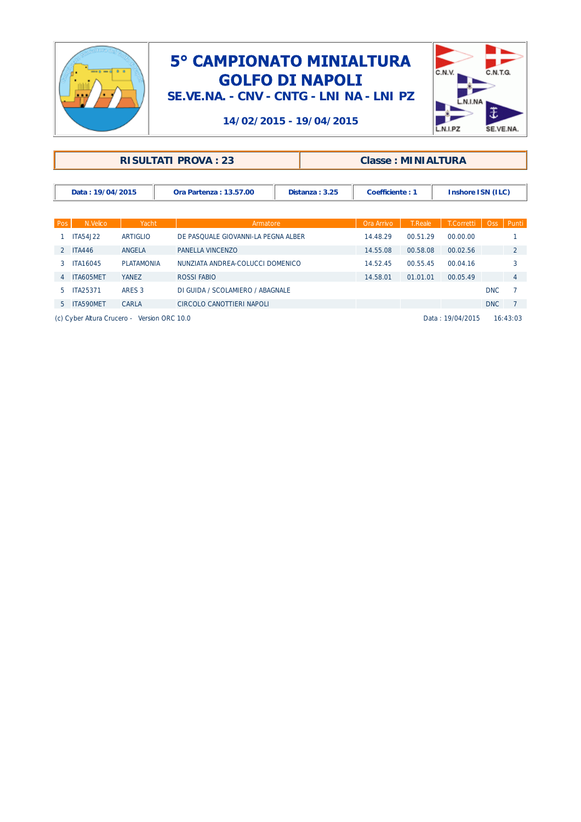

**SE.VE.NA. - CNV - CNTG - LNI NA - LNI PZ**



#### **14/02/2015 - 19/04/2015**

| <b>Classe: MINIALTURA</b> |
|---------------------------|
|                           |
|                           |

| Data: 19/04/2015 | Ora Partenza: 13.57.00 | Distanza | Coefficiente : | Inshore ISN (ILC) |
|------------------|------------------------|----------|----------------|-------------------|

| Pos | N.Velico        | Yacht             | Armatore                            | Ora Arrivo | <b>T.Reale</b> | T.Corretti | Oss        | Punti          |
|-----|-----------------|-------------------|-------------------------------------|------------|----------------|------------|------------|----------------|
|     | ITA54.J22       | <b>ARTIGLIO</b>   | DE PASOUALE GIOVANNI-LA PEGNA ALBER | 14.48.29   | 00.51.29       | 00.00.00   |            |                |
|     | <b>ITA446</b>   | ANGELA            | PANELLA VINCENZO                    | 14.55.08   | 00.58.08       | 00.02.56   |            | 2              |
| з   | <b>ITA16045</b> | <b>PLATAMONIA</b> | NUNZIATA ANDREA-COLUCCI DOMENICO    | 14.52.45   | 00.55.45       | 00.04.16   |            |                |
| 4   | ITA605MET       | <b>YANEZ</b>      | ROSSI FABIO                         | 14.58.01   | 01.01.01       | 00.05.49   |            | $\overline{4}$ |
| 5.  | <b>ITA25371</b> | ARES 3            | DI GUIDA / SCOLAMIERO / ABAGNALE    |            |                |            | <b>DNC</b> |                |
|     | 5 ITA590MET     | CARLA             | CIRCOLO CANOTTIERI NAPOLI           |            |                |            | DNC        |                |

(c) Cyber Altura Crucero - Version ORC 10.0 QBQG-J7Q9 Data : 19/04/2015 16:43:03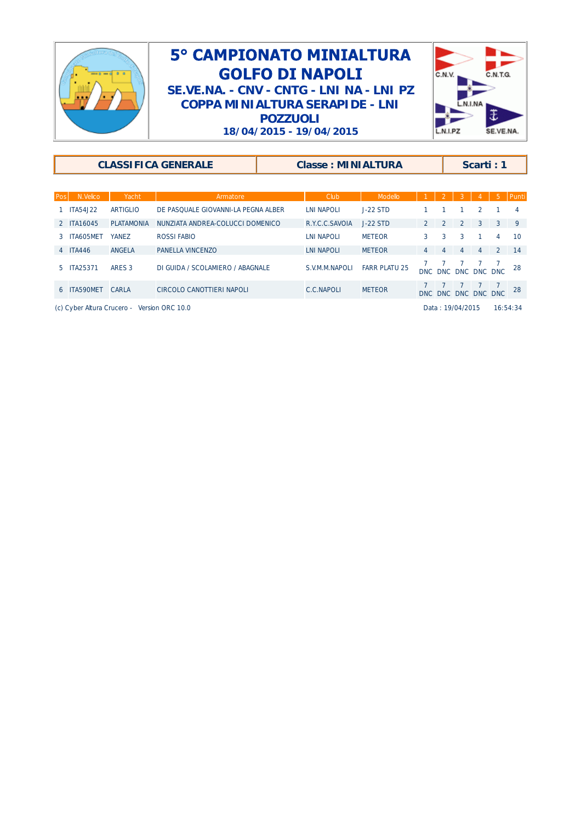

### 5° CAMPIONATO MINIALTURA **GOLFO DI NAPOLI SE.VE.NA. - CNV - CNTG - LNI NA - LNI PZ COPPA MINIALTURA SERAPIDE - LNI POZZUOLI 18/04/2015 - 19/04/2015**



|                       |                   | <b>CLASSIFICA GENERALE</b>          | <b>Classe: MINIALTURA</b> |                      | Scarti: 1     |            |                     |                |                |                |
|-----------------------|-------------------|-------------------------------------|---------------------------|----------------------|---------------|------------|---------------------|----------------|----------------|----------------|
| N.Velico<br>Pos       | Yacht             | Armatore                            | Club                      | Modello              |               |            |                     |                | 5.             | Punti          |
| <b>ITA54J22</b>       | <b>ARTIGLIO</b>   | DE PASOUALE GIOVANNI-LA PEGNA ALBER | LNI NAPOLI                | $J-22$ STD           |               |            |                     | 2              |                | $\overline{4}$ |
| 2 ITA16045            | <b>PLATAMONIA</b> | NUNZIATA ANDREA-COLUCCI DOMENICO    | R.Y.C.C.SAVOIA            | $J-22$ STD           | $\mathcal{P}$ | $\sqrt{2}$ | 2                   | $\overline{3}$ | $\overline{3}$ | $\mathsf{Q}$   |
| ITA605MET<br>3.       | <b>YANEZ</b>      | ROSSI FABIO                         | LNI NAPOLI                | <b>METEOR</b>        | 3             | 3          | 3                   |                | $\overline{4}$ | 10             |
| 4 ITA446              | ANGELA            | PANELLA VINCENZO                    | <b>LNI NAPOLI</b>         | <b>METEOR</b>        | 4             | 4          | $\overline{4}$      | 4              | 2              | 14             |
| <b>ITA25371</b><br>5. | ARES 3            | DI GUIDA / SCOLAMIERO / ABAGNALE    | S.V.M.M.NAPOLI            | <b>FARR PLATU 25</b> |               |            | DNC DNC DNC DNC DNC |                |                | 28             |
| <b>ITA590MFT</b><br>6 | CARLA             | CIRCOLO CANOTTIERI NAPOLI           | C.C.NAPOLI                | <b>METEOR</b>        |               | DNC DNC    | DNC                 |                | DNC DNC        | 28             |

(c) Cyber Altura Crucero - Version ORC 10.0 Compared to the Case of Compared to Case Data : 19/04/2015 16:54:34